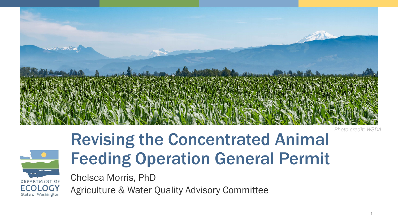

*Photo credit: WSDA*

## Revising the Concentrated Animal Feeding Operation General Permit

Chelsea Morris, PhD DEPARTMENT OF

**ECOLOGY** State of Washington Agriculture & Water Quality Advisory Committee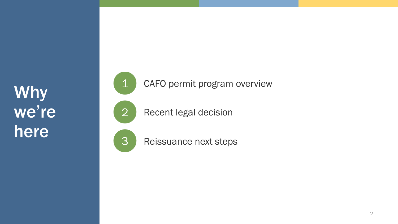Why we're here



3 Reissuance next steps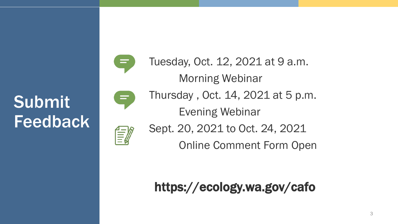Submit Feedback



Tuesday, Oct. 12, 2021 at 9 a.m. Morning Webinar Thursday , Oct. 14, 2021 at 5 p.m. Evening Webinar Sept. 20, 2021 to Oct. 24, 2021 Online Comment Form Open

https://ecology.wa.gov/cafo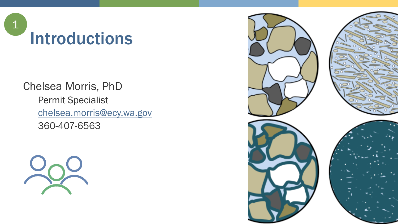

## Chelsea Morris, PhD

Permit Specialist [chelsea.morris@ecy.wa.gov](mailto:chelsea.morris@ecy.wa.gov) 360-407-6563



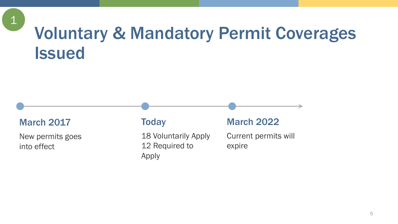## Voluntary & Mandatory Permit Coverages **Issued**

#### March 2017

 $\mathbf 1$ 

New permits goes into effect

#### **Today**

18 Voluntarily Apply 12 Required to Apply

#### March 2022

Current permits will expire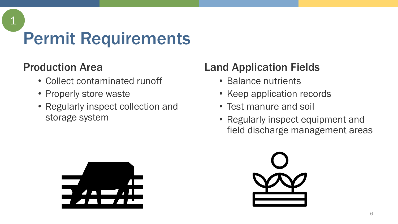# Permit Requirements

### Production Area

1

- Collect contaminated runoff
- Properly store waste
- Regularly inspect collection and storage system

### Land Application Fields

- Balance nutrients
- Keep application records
- Test manure and soil
- Regularly inspect equipment and field discharge management areas



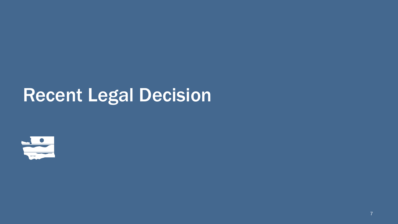## Recent Legal Decision

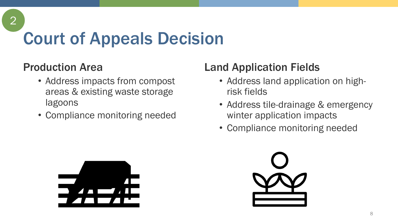# Court of Appeals Decision

#### Production Area

2

- Address impacts from compost areas & existing waste storage lagoons
- Compliance monitoring needed

### Land Application Fields

- Address land application on highrisk fields
- Address tile-drainage & emergency winter application impacts
- Compliance monitoring needed



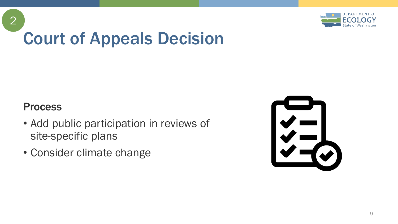

# Court of Appeals Decision

#### Process

2

- Add public participation in reviews of site-specific plans
- Consider climate change

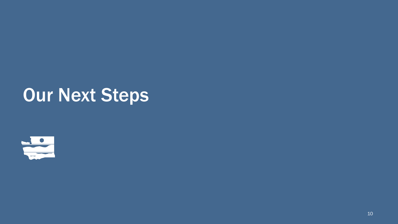## Our Next Steps

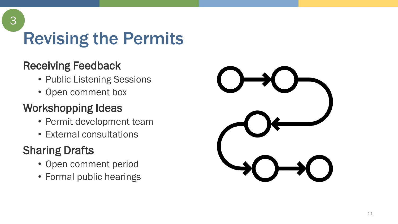Revising the Permits

### Receiving Feedback

3

- Public Listening Sessions
- Open comment box

### Workshopping Ideas

- Permit development team
- External consultations

## Sharing Drafts

- Open comment period
- Formal public hearings



11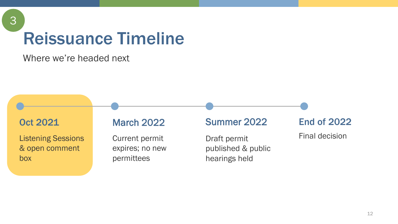# Reissuance Timeline

Where we're headed next



3

Listening Sessions & open comment box

#### March 2022

Current permit expires; no new permittees

#### Summer 2022

Draft permit published & public hearings held

End of 2022

Final decision